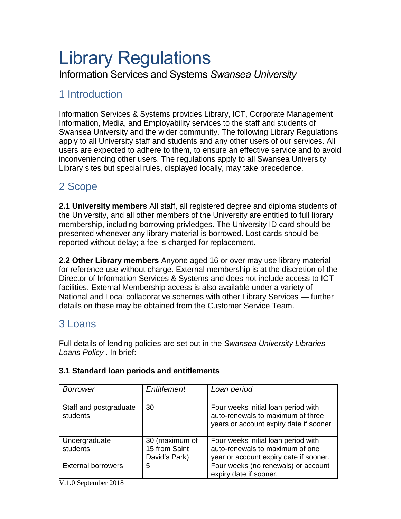# Library Regulations

Information Services and Systems *Swansea University*

# 1 Introduction

Information Services & Systems provides Library, ICT, Corporate Management Information, Media, and Employability services to the staff and students of Swansea University and the wider community. The following Library Regulations apply to all University staff and students and any other users of our services. All users are expected to adhere to them, to ensure an effective service and to avoid inconveniencing other users. The regulations apply to all Swansea University Library sites but special rules, displayed locally, may take precedence.

# 2 Scope

**2.1 University members** All staff, all registered degree and diploma students of the University, and all other members of the University are entitled to full library membership, including borrowing privledges. The University ID card should be presented whenever any library material is borrowed. Lost cards should be reported without delay; a fee is charged for replacement.

**2.2 Other Library members** Anyone aged 16 or over may use library material for reference use without charge. External membership is at the discretion of the Director of Information Services & Systems and does not include access to ICT facilities. External Membership access is also available under a variety of National and Local collaborative schemes with other Library Services — further details on these may be obtained from the Customer Service Team.

#### 3 Loans

Full details of lending policies are set out in the *Swansea University Libraries Loans Policy* . In brief:

| Borrower                           | Entitlement    | Loan period                                                                                                        |  |
|------------------------------------|----------------|--------------------------------------------------------------------------------------------------------------------|--|
| Staff and postgraduate<br>students | 30             | Four weeks initial loan period with<br>auto-renewals to maximum of three<br>years or account expiry date if sooner |  |
| Undergraduate                      | 30 (maximum of | Four weeks initial loan period with                                                                                |  |
| students                           | 15 from Saint  | auto-renewals to maximum of one                                                                                    |  |
|                                    | David's Park)  | year or account expiry date if sooner.                                                                             |  |
| <b>External borrowers</b>          | 5              | Four weeks (no renewals) or account<br>expiry date if sooner.                                                      |  |

#### **3.1 Standard loan periods and entitlements**

V.1.0 September 2018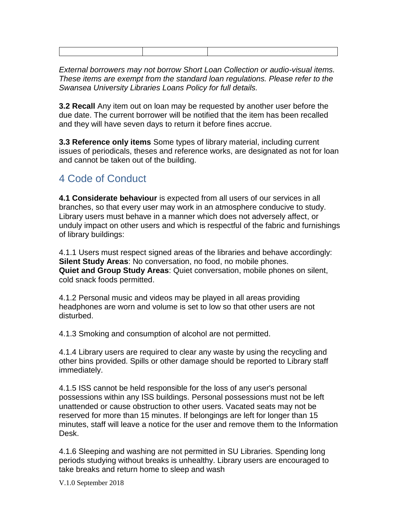*External borrowers may not borrow Short Loan Collection or audio-visual items. These items are exempt from the standard loan regulations. Please refer to the Swansea University Libraries Loans Policy for full details.*

**3.2 Recall** Any item out on loan may be requested by another user before the due date. The current borrower will be notified that the item has been recalled and they will have seven days to return it before fines accrue.

**3.3 Reference only items** Some types of library material, including current issues of periodicals, theses and reference works, are designated as not for loan and cannot be taken out of the building.

### 4 Code of Conduct

**4.1 Considerate behaviour** is expected from all users of our services in all branches, so that every user may work in an atmosphere conducive to study. Library users must behave in a manner which does not adversely affect, or unduly impact on other users and which is respectful of the fabric and furnishings of library buildings:

4.1.1 Users must respect signed areas of the libraries and behave accordingly: **Silent Study Areas**: No conversation, no food, no mobile phones. **Quiet and Group Study Areas**: Quiet conversation, mobile phones on silent, cold snack foods permitted.

4.1.2 Personal music and videos may be played in all areas providing headphones are worn and volume is set to low so that other users are not disturbed.

4.1.3 Smoking and consumption of alcohol are not permitted.

4.1.4 Library users are required to clear any waste by using the recycling and other bins provided. Spills or other damage should be reported to Library staff immediately.

4.1.5 ISS cannot be held responsible for the loss of any user's personal possessions within any ISS buildings. Personal possessions must not be left unattended or cause obstruction to other users. Vacated seats may not be reserved for more than 15 minutes. If belongings are left for longer than 15 minutes, staff will leave a notice for the user and remove them to the Information Desk.

4.1.6 Sleeping and washing are not permitted in SU Libraries. Spending long periods studying without breaks is unhealthy. Library users are encouraged to take breaks and return home to sleep and wash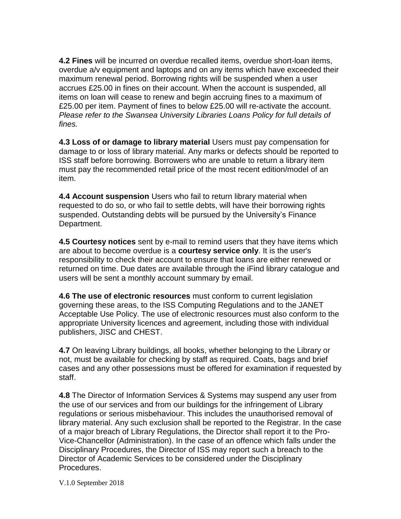**4.2 Fines** will be incurred on overdue recalled items, overdue short-loan items, overdue a/v equipment and laptops and on any items which have exceeded their maximum renewal period. Borrowing rights will be suspended when a user accrues £25.00 in fines on their account. When the account is suspended, all items on loan will cease to renew and begin accruing fines to a maximum of £25.00 per item. Payment of fines to below £25.00 will re-activate the account. *Please refer to the Swansea University Libraries Loans Policy for full details of fines.*

**4.3 Loss of or damage to library material** Users must pay compensation for damage to or loss of library material. Any marks or defects should be reported to ISS staff before borrowing. Borrowers who are unable to return a library item must pay the recommended retail price of the most recent edition/model of an item.

**4.4 Account suspension** Users who fail to return library material when requested to do so, or who fail to settle debts, will have their borrowing rights suspended. Outstanding debts will be pursued by the University's Finance Department.

**4.5 Courtesy notices** sent by e-mail to remind users that they have items which are about to become overdue is a **courtesy service only**. It is the user's responsibility to check their account to ensure that loans are either renewed or returned on time. Due dates are available through the iFind library catalogue and users will be sent a monthly account summary by email.

**4.6 The use of electronic resources** must conform to current legislation governing these areas, to the ISS Computing Regulations and to the JANET Acceptable Use Policy. The use of electronic resources must also conform to the appropriate University licences and agreement, including those with individual publishers, JISC and CHEST.

**4.7** On leaving Library buildings, all books, whether belonging to the Library or not, must be available for checking by staff as required. Coats, bags and brief cases and any other possessions must be offered for examination if requested by staff.

**4.8** The Director of Information Services & Systems may suspend any user from the use of our services and from our buildings for the infringement of Library regulations or serious misbehaviour. This includes the unauthorised removal of library material. Any such exclusion shall be reported to the Registrar. In the case of a major breach of Library Regulations, the Director shall report it to the Pro-Vice-Chancellor (Administration). In the case of an offence which falls under the Disciplinary Procedures, the Director of ISS may report such a breach to the Director of Academic Services to be considered under the Disciplinary Procedures.

V.1.0 September 2018